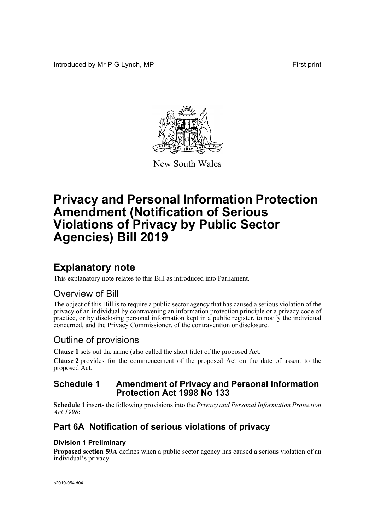Introduced by Mr P G Lynch, MP **First** print



New South Wales

# **Privacy and Personal Information Protection Amendment (Notification of Serious Violations of Privacy by Public Sector Agencies) Bill 2019**

# **Explanatory note**

This explanatory note relates to this Bill as introduced into Parliament.

# Overview of Bill

The object of this Bill is to require a public sector agency that has caused a serious violation of the privacy of an individual by contravening an information protection principle or a privacy code of practice, or by disclosing personal information kept in a public register, to notify the individual concerned, and the Privacy Commissioner, of the contravention or disclosure.

# Outline of provisions

**Clause 1** sets out the name (also called the short title) of the proposed Act.

**Clause 2** provides for the commencement of the proposed Act on the date of assent to the proposed Act.

## **Schedule 1 Amendment of Privacy and Personal Information Protection Act 1998 No 133**

**Schedule 1** inserts the following provisions into the *Privacy and Personal Information Protection Act 1998*:

# **Part 6A Notification of serious violations of privacy**

## **Division 1 Preliminary**

**Proposed section 59A** defines when a public sector agency has caused a serious violation of an individual's privacy.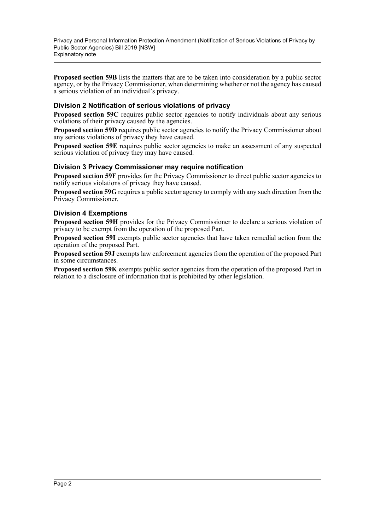Privacy and Personal Information Protection Amendment (Notification of Serious Violations of Privacy by Public Sector Agencies) Bill 2019 [NSW] Explanatory note

**Proposed section 59B** lists the matters that are to be taken into consideration by a public sector agency, or by the Privacy Commissioner, when determining whether or not the agency has caused a serious violation of an individual's privacy.

### **Division 2 Notification of serious violations of privacy**

**Proposed section 59C** requires public sector agencies to notify individuals about any serious violations of their privacy caused by the agencies.

**Proposed section 59D** requires public sector agencies to notify the Privacy Commissioner about any serious violations of privacy they have caused.

**Proposed section 59E** requires public sector agencies to make an assessment of any suspected serious violation of privacy they may have caused.

### **Division 3 Privacy Commissioner may require notification**

**Proposed section 59F** provides for the Privacy Commissioner to direct public sector agencies to notify serious violations of privacy they have caused.

**Proposed section 59G** requires a public sector agency to comply with any such direction from the Privacy Commissioner.

### **Division 4 Exemptions**

**Proposed section 59H** provides for the Privacy Commissioner to declare a serious violation of privacy to be exempt from the operation of the proposed Part.

**Proposed section 59I** exempts public sector agencies that have taken remedial action from the operation of the proposed Part.

**Proposed section 59J** exempts law enforcement agencies from the operation of the proposed Part in some circumstances.

**Proposed section 59K** exempts public sector agencies from the operation of the proposed Part in relation to a disclosure of information that is prohibited by other legislation.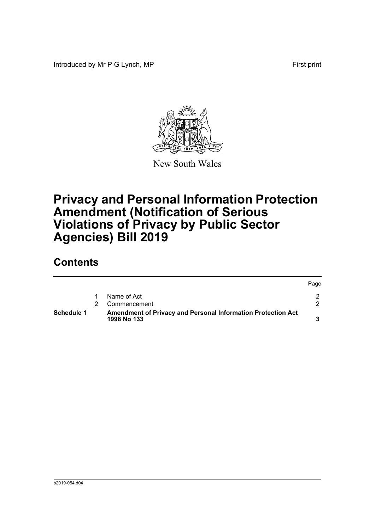Introduced by Mr P G Lynch, MP First print



New South Wales

# **Privacy and Personal Information Protection Amendment (Notification of Serious Violations of Privacy by Public Sector Agencies) Bill 2019**

# **Contents**

|                   |                                                                             | Page |
|-------------------|-----------------------------------------------------------------------------|------|
|                   | Name of Act                                                                 |      |
|                   | Commencement                                                                |      |
| <b>Schedule 1</b> | Amendment of Privacy and Personal Information Protection Act<br>1998 No 133 |      |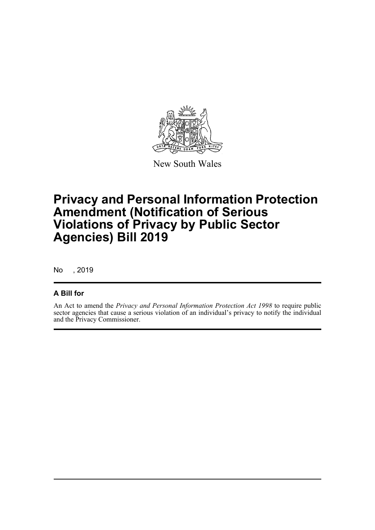

New South Wales

# **Privacy and Personal Information Protection Amendment (Notification of Serious Violations of Privacy by Public Sector Agencies) Bill 2019**

No , 2019

## **A Bill for**

An Act to amend the *Privacy and Personal Information Protection Act 1998* to require public sector agencies that cause a serious violation of an individual's privacy to notify the individual and the Privacy Commissioner.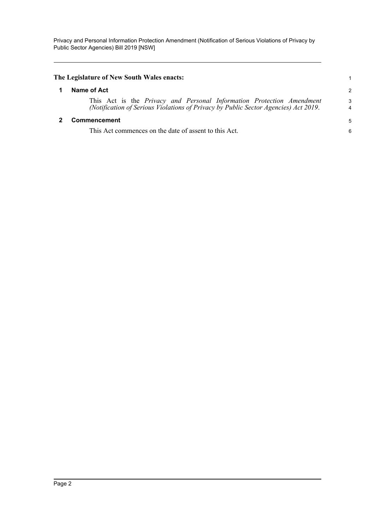Privacy and Personal Information Protection Amendment (Notification of Serious Violations of Privacy by Public Sector Agencies) Bill 2019 [NSW]

<span id="page-4-1"></span><span id="page-4-0"></span>

| The Legislature of New South Wales enacts: |                                                                                                                                                                     |               |
|--------------------------------------------|---------------------------------------------------------------------------------------------------------------------------------------------------------------------|---------------|
|                                            | Name of Act                                                                                                                                                         | $\mathcal{P}$ |
|                                            | This Act is the <i>Privacy and Personal Information Protection Amendment</i><br>(Notification of Serious Violations of Privacy by Public Sector Agencies) Act 2019. | 3<br>4        |
|                                            | Commencement                                                                                                                                                        | 5             |
|                                            | This Act commences on the date of assent to this Act.                                                                                                               | 6             |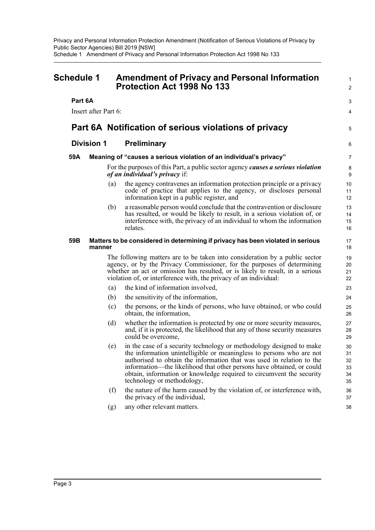<span id="page-5-0"></span>

| Schedule 1           |        |     | <b>Amendment of Privacy and Personal Information</b><br><b>Protection Act 1998 No 133</b>                                                                                                                                                                                                                                                                                                            |                                  |
|----------------------|--------|-----|------------------------------------------------------------------------------------------------------------------------------------------------------------------------------------------------------------------------------------------------------------------------------------------------------------------------------------------------------------------------------------------------------|----------------------------------|
| Part 6A              |        |     |                                                                                                                                                                                                                                                                                                                                                                                                      | 3                                |
| Insert after Part 6: |        |     |                                                                                                                                                                                                                                                                                                                                                                                                      | 4                                |
|                      |        |     | Part 6A Notification of serious violations of privacy                                                                                                                                                                                                                                                                                                                                                | 5                                |
| <b>Division 1</b>    |        |     | <b>Preliminary</b>                                                                                                                                                                                                                                                                                                                                                                                   |                                  |
| 59A                  |        |     | Meaning of "causes a serious violation of an individual's privacy"                                                                                                                                                                                                                                                                                                                                   | 7                                |
|                      |        |     | For the purposes of this Part, a public sector agency causes a serious violation<br><i>of an individual's privacy if:</i>                                                                                                                                                                                                                                                                            | 8<br>9                           |
|                      |        | (a) | the agency contravenes an information protection principle or a privacy<br>code of practice that applies to the agency, or discloses personal<br>information kept in a public register, and                                                                                                                                                                                                          | 10<br>11<br>12                   |
|                      |        | (b) | a reasonable person would conclude that the contravention or disclosure<br>has resulted, or would be likely to result, in a serious violation of, or<br>interference with, the privacy of an individual to whom the information<br>relates.                                                                                                                                                          | 13<br>14<br>15<br>16             |
| 59B                  | manner |     | Matters to be considered in determining if privacy has been violated in serious                                                                                                                                                                                                                                                                                                                      | 17<br>18                         |
|                      |        |     | The following matters are to be taken into consideration by a public sector<br>agency, or by the Privacy Commissioner, for the purposes of determining<br>whether an act or omission has resulted, or is likely to result, in a serious<br>violation of, or interference with, the privacy of an individual:                                                                                         | 19<br>20<br>21<br>22             |
|                      |        | (a) | the kind of information involved,                                                                                                                                                                                                                                                                                                                                                                    | 23                               |
|                      |        | (b) | the sensitivity of the information,                                                                                                                                                                                                                                                                                                                                                                  | 24                               |
|                      |        | (c) | the persons, or the kinds of persons, who have obtained, or who could<br>obtain, the information,                                                                                                                                                                                                                                                                                                    | 25<br>26                         |
|                      |        | (d) | whether the information is protected by one or more security measures,<br>and, if it is protected, the likelihood that any of those security measures<br>could be overcome,                                                                                                                                                                                                                          | 27<br>28<br>29                   |
|                      |        | (e) | in the case of a security technology or methodology designed to make<br>the information unintelligible or meaningless to persons who are not<br>authorised to obtain the information that was used in relation to the<br>information—the likelihood that other persons have obtained, or could<br>obtain, information or knowledge required to circumvent the security<br>technology or methodology, | 30<br>31<br>32<br>33<br>34<br>35 |
|                      |        | (f) | the nature of the harm caused by the violation of, or interference with,<br>the privacy of the individual,                                                                                                                                                                                                                                                                                           | 36<br>37                         |
|                      |        | (g) | any other relevant matters.                                                                                                                                                                                                                                                                                                                                                                          | 38                               |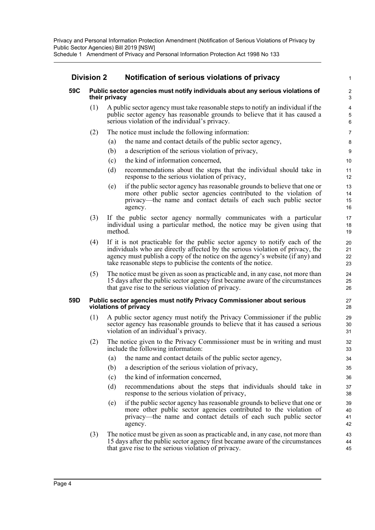## **Division 2 Notification of serious violations of privacy**

### **59C Public sector agencies must notify individuals about any serious violations of their privacy**

(1) A public sector agency must take reasonable steps to notify an individual if the public sector agency has reasonable grounds to believe that it has caused a serious violation of the individual's privacy.

- (2) The notice must include the following information:
	- (a) the name and contact details of the public sector agency,
	- (b) a description of the serious violation of privacy,
	- (c) the kind of information concerned,
	- (d) recommendations about the steps that the individual should take in response to the serious violation of privacy,
	- (e) if the public sector agency has reasonable grounds to believe that one or more other public sector agencies contributed to the violation of privacy—the name and contact details of each such public sector agency.
- (3) If the public sector agency normally communicates with a particular individual using a particular method, the notice may be given using that method.
- (4) If it is not practicable for the public sector agency to notify each of the individuals who are directly affected by the serious violation of privacy, the agency must publish a copy of the notice on the agency's website (if any) and take reasonable steps to publicise the contents of the notice.
- (5) The notice must be given as soon as practicable and, in any case, not more than 15 days after the public sector agency first became aware of the circumstances that gave rise to the serious violation of privacy.

#### **59D Public sector agencies must notify Privacy Commissioner about serious violations of privacy**

- (1) A public sector agency must notify the Privacy Commissioner if the public sector agency has reasonable grounds to believe that it has caused a serious violation of an individual's privacy.
- (2) The notice given to the Privacy Commissioner must be in writing and must include the following information:
	- (a) the name and contact details of the public sector agency,
	- (b) a description of the serious violation of privacy,
	- (c) the kind of information concerned,
	- (d) recommendations about the steps that individuals should take in response to the serious violation of privacy,
	- (e) if the public sector agency has reasonable grounds to believe that one or more other public sector agencies contributed to the violation of privacy—the name and contact details of each such public sector agency.
- (3) The notice must be given as soon as practicable and, in any case, not more than 15 days after the public sector agency first became aware of the circumstances that gave rise to the serious violation of privacy.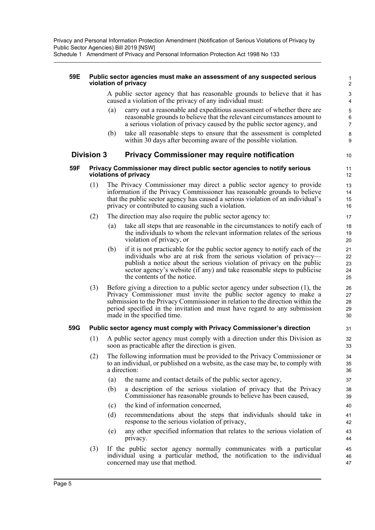Privacy and Personal Information Protection Amendment (Notification of Serious Violations of Privacy by Public Sector Agencies) Bill 2019 [NSW]

Schedule 1 Amendment of Privacy and Personal Information Protection Act 1998 No 133

#### **59E Public sector agencies must make an assessment of any suspected serious violation of privacy**

A public sector agency that has reasonable grounds to believe that it has caused a violation of the privacy of any individual must:

(a) carry out a reasonable and expeditious assessment of whether there are reasonable grounds to believe that the relevant circumstances amount to a serious violation of privacy caused by the public sector agency, and

(b) take all reasonable steps to ensure that the assessment is completed within 30 days after becoming aware of the possible violation.

### **Division 3 Privacy Commissioner may require notification**

#### **59F Privacy Commissioner may direct public sector agencies to notify serious violations of privacy**

- (1) The Privacy Commissioner may direct a public sector agency to provide information if the Privacy Commissioner has reasonable grounds to believe that the public sector agency has caused a serious violation of an individual's privacy or contributed to causing such a violation.
- (2) The direction may also require the public sector agency to:
	- (a) take all steps that are reasonable in the circumstances to notify each of the individuals to whom the relevant information relates of the serious violation of privacy, or
	- (b) if it is not practicable for the public sector agency to notify each of the individuals who are at risk from the serious violation of privacy publish a notice about the serious violation of privacy on the public sector agency's website (if any) and take reasonable steps to publicise the contents of the notice.
- (3) Before giving a direction to a public sector agency under subsection (1), the Privacy Commissioner must invite the public sector agency to make a submission to the Privacy Commissioner in relation to the direction within the period specified in the invitation and must have regard to any submission made in the specified time.

#### **59G Public sector agency must comply with Privacy Commissioner's direction**

- (1) A public sector agency must comply with a direction under this Division as soon as practicable after the direction is given.
- (2) The following information must be provided to the Privacy Commissioner or to an individual, or published on a website, as the case may be, to comply with a direction:
	- (a) the name and contact details of the public sector agency,
	- (b) a description of the serious violation of privacy that the Privacy Commissioner has reasonable grounds to believe has been caused,
	- (c) the kind of information concerned,
	- (d) recommendations about the steps that individuals should take in response to the serious violation of privacy,
	- (e) any other specified information that relates to the serious violation of privacy.
- (3) If the public sector agency normally communicates with a particular individual using a particular method, the notification to the individual concerned may use that method.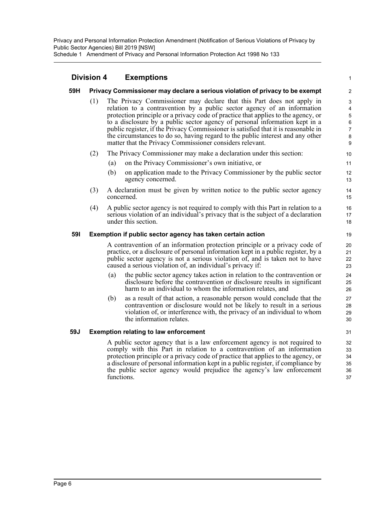## **Division 4 Exemptions**

### **59H Privacy Commissioner may declare a serious violation of privacy to be exempt**

(1) The Privacy Commissioner may declare that this Part does not apply in relation to a contravention by a public sector agency of an information protection principle or a privacy code of practice that applies to the agency, or to a disclosure by a public sector agency of personal information kept in a public register, if the Privacy Commissioner is satisfied that it is reasonable in the circumstances to do so, having regard to the public interest and any other matter that the Privacy Commissioner considers relevant.

1

- (2) The Privacy Commissioner may make a declaration under this section:
	- (a) on the Privacy Commissioner's own initiative, or
	- (b) on application made to the Privacy Commissioner by the public sector agency concerned.
- (3) A declaration must be given by written notice to the public sector agency concerned.
- (4) A public sector agency is not required to comply with this Part in relation to a serious violation of an individual's privacy that is the subject of a declaration under this section.

### **59I Exemption if public sector agency has taken certain action**

A contravention of an information protection principle or a privacy code of practice, or a disclosure of personal information kept in a public register, by a public sector agency is not a serious violation of, and is taken not to have caused a serious violation of, an individual's privacy if:

- (a) the public sector agency takes action in relation to the contravention or disclosure before the contravention or disclosure results in significant harm to an individual to whom the information relates, and
- (b) as a result of that action, a reasonable person would conclude that the contravention or disclosure would not be likely to result in a serious violation of, or interference with, the privacy of an individual to whom the information relates.

#### **59J Exemption relating to law enforcement**

A public sector agency that is a law enforcement agency is not required to comply with this Part in relation to a contravention of an information protection principle or a privacy code of practice that applies to the agency, or a disclosure of personal information kept in a public register, if compliance by the public sector agency would prejudice the agency's law enforcement functions.